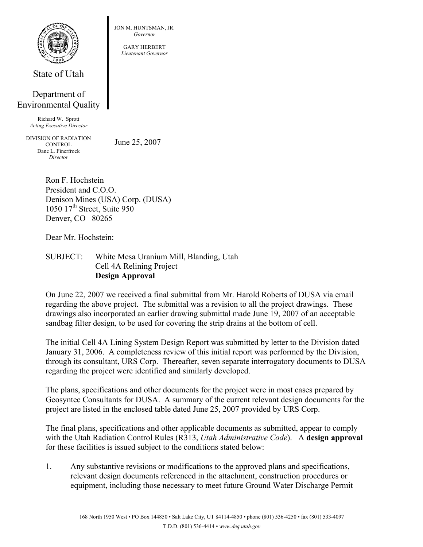

State of Utah

## Department of Environmental Quality

Richard W. Sprott *Acting Executive Director* 

DIVISION OF RADIATION **CONTROL** Dane L. Finerfrock *Director* 

June 25, 2007

JON M. HUNTSMAN, JR. *Governor*  GARY HERBERT *Lieutenant Governor*

Ron F. Hochstein President and C.O.O. Denison Mines (USA) Corp. (DUSA) 1050 17<sup>th</sup> Street, Suite 950 Denver, CO 80265

Dear Mr. Hochstein:

SUBJECT: White Mesa Uranium Mill, Blanding, Utah Cell 4A Relining Project **Design Approval** 

On June 22, 2007 we received a final submittal from Mr. Harold Roberts of DUSA via email regarding the above project. The submittal was a revision to all the project drawings. These drawings also incorporated an earlier drawing submittal made June 19, 2007 of an acceptable sandbag filter design, to be used for covering the strip drains at the bottom of cell.

The initial Cell 4A Lining System Design Report was submitted by letter to the Division dated January 31, 2006. A completeness review of this initial report was performed by the Division, through its consultant, URS Corp. Thereafter, seven separate interrogatory documents to DUSA regarding the project were identified and similarly developed.

The plans, specifications and other documents for the project were in most cases prepared by Geosyntec Consultants for DUSA. A summary of the current relevant design documents for the project are listed in the enclosed table dated June 25, 2007 provided by URS Corp.

The final plans, specifications and other applicable documents as submitted, appear to comply with the Utah Radiation Control Rules (R313, *Utah Administrative Code*). A **design approval** for these facilities is issued subject to the conditions stated below:

1. Any substantive revisions or modifications to the approved plans and specifications, relevant design documents referenced in the attachment, construction procedures or equipment, including those necessary to meet future Ground Water Discharge Permit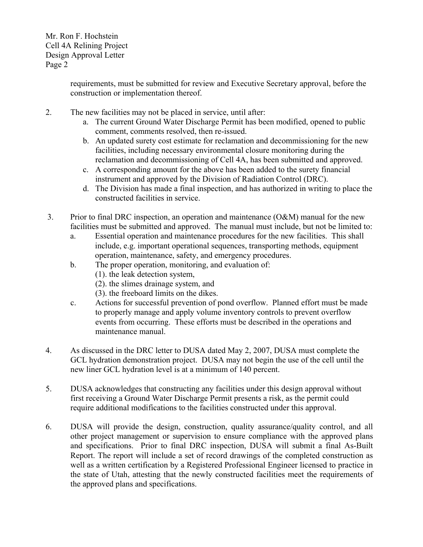> requirements, must be submitted for review and Executive Secretary approval, before the construction or implementation thereof.

- 2. The new facilities may not be placed in service, until after:
	- a. The current Ground Water Discharge Permit has been modified, opened to public comment, comments resolved, then re-issued.
	- b. An updated surety cost estimate for reclamation and decommissioning for the new facilities, including necessary environmental closure monitoring during the reclamation and decommissioning of Cell 4A, has been submitted and approved.
	- c. A corresponding amount for the above has been added to the surety financial instrument and approved by the Division of Radiation Control (DRC).
	- d. The Division has made a final inspection, and has authorized in writing to place the constructed facilities in service.
- 3. Prior to final DRC inspection, an operation and maintenance (O&M) manual for the new facilities must be submitted and approved. The manual must include, but not be limited to:
	- a. Essential operation and maintenance procedures for the new facilities. This shall include, e.g. important operational sequences, transporting methods, equipment operation, maintenance, safety, and emergency procedures.
	- b. The proper operation, monitoring, and evaluation of:
		- (1). the leak detection system,
		- (2). the slimes drainage system, and
		- (3). the freeboard limits on the dikes.
	- c. Actions for successful prevention of pond overflow. Planned effort must be made to properly manage and apply volume inventory controls to prevent overflow events from occurring. These efforts must be described in the operations and maintenance manual.
- 4. As discussed in the DRC letter to DUSA dated May 2, 2007, DUSA must complete the GCL hydration demonstration project. DUSA may not begin the use of the cell until the new liner GCL hydration level is at a minimum of 140 percent.
- 5. DUSA acknowledges that constructing any facilities under this design approval without first receiving a Ground Water Discharge Permit presents a risk, as the permit could require additional modifications to the facilities constructed under this approval.
- 6. DUSA will provide the design, construction, quality assurance/quality control, and all other project management or supervision to ensure compliance with the approved plans and specifications. Prior to final DRC inspection, DUSA will submit a final As-Built Report. The report will include a set of record drawings of the completed construction as well as a written certification by a Registered Professional Engineer licensed to practice in the state of Utah, attesting that the newly constructed facilities meet the requirements of the approved plans and specifications.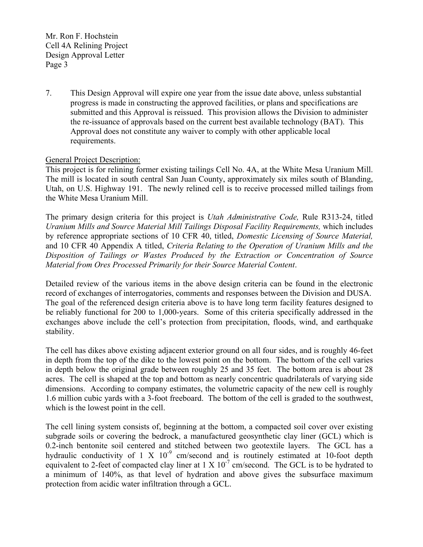7. This Design Approval will expire one year from the issue date above, unless substantial progress is made in constructing the approved facilities, or plans and specifications are submitted and this Approval is reissued. This provision allows the Division to administer the re-issuance of approvals based on the current best available technology (BAT). This Approval does not constitute any waiver to comply with other applicable local requirements.

## General Project Description:

This project is for relining former existing tailings Cell No. 4A, at the White Mesa Uranium Mill. The mill is located in south central San Juan County, approximately six miles south of Blanding, Utah, on U.S. Highway 191. The newly relined cell is to receive processed milled tailings from the White Mesa Uranium Mill.

The primary design criteria for this project is *Utah Administrative Code,* Rule R313-24, titled *Uranium Mills and Source Material Mill Tailings Disposal Facility Requirements,* which includes by reference appropriate sections of 10 CFR 40, titled, *Domestic Licensing of Source Material,*  and 10 CFR 40 Appendix A titled, *Criteria Relating to the Operation of Uranium Mills and the Disposition of Tailings or Wastes Produced by the Extraction or Concentration of Source Material from Ores Processed Primarily for their Source Material Content*.

Detailed review of the various items in the above design criteria can be found in the electronic record of exchanges of interrogatories, comments and responses between the Division and DUSA. The goal of the referenced design criteria above is to have long term facility features designed to be reliably functional for 200 to 1,000-years. Some of this criteria specifically addressed in the exchanges above include the cell's protection from precipitation, floods, wind, and earthquake stability.

The cell has dikes above existing adjacent exterior ground on all four sides, and is roughly 46-feet in depth from the top of the dike to the lowest point on the bottom. The bottom of the cell varies in depth below the original grade between roughly 25 and 35 feet. The bottom area is about 28 acres. The cell is shaped at the top and bottom as nearly concentric quadrilaterals of varying side dimensions. According to company estimates, the volumetric capacity of the new cell is roughly 1.6 million cubic yards with a 3-foot freeboard. The bottom of the cell is graded to the southwest, which is the lowest point in the cell.

The cell lining system consists of, beginning at the bottom, a compacted soil cover over existing subgrade soils or covering the bedrock, a manufactured geosynthetic clay liner (GCL) which is 0.2-inch bentonite soil centered and stitched between two geotextile layers. The GCL has a hydraulic conductivity of 1 X  $10^{-9}$  cm/second and is routinely estimated at 10-foot depth equivalent to 2-feet of compacted clay liner at  $1 \times 10^{-7}$  cm/second. The GCL is to be hydrated to a minimum of 140%, as that level of hydration and above gives the subsurface maximum protection from acidic water infiltration through a GCL.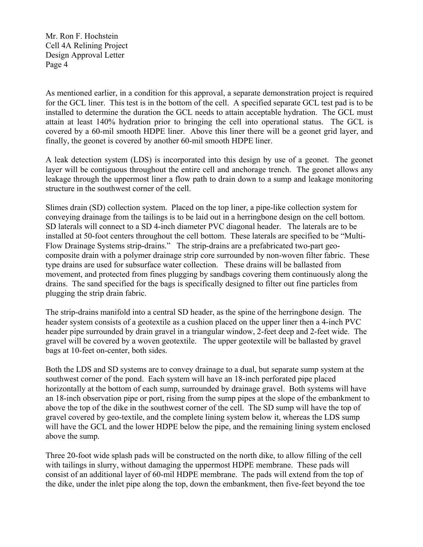As mentioned earlier, in a condition for this approval, a separate demonstration project is required for the GCL liner. This test is in the bottom of the cell. A specified separate GCL test pad is to be installed to determine the duration the GCL needs to attain acceptable hydration. The GCL must attain at least 140% hydration prior to bringing the cell into operational status. The GCL is covered by a 60-mil smooth HDPE liner. Above this liner there will be a geonet grid layer, and finally, the geonet is covered by another 60-mil smooth HDPE liner.

A leak detection system (LDS) is incorporated into this design by use of a geonet. The geonet layer will be contiguous throughout the entire cell and anchorage trench. The geonet allows any leakage through the uppermost liner a flow path to drain down to a sump and leakage monitoring structure in the southwest corner of the cell.

Slimes drain (SD) collection system. Placed on the top liner, a pipe-like collection system for conveying drainage from the tailings is to be laid out in a herringbone design on the cell bottom. SD laterals will connect to a SD 4-inch diameter PVC diagonal header. The laterals are to be installed at 50-foot centers throughout the cell bottom. These laterals are specified to be "Multi-Flow Drainage Systems strip-drains." The strip-drains are a prefabricated two-part geocomposite drain with a polymer drainage strip core surrounded by non-woven filter fabric. These type drains are used for subsurface water collection. These drains will be ballasted from movement, and protected from fines plugging by sandbags covering them continuously along the drains. The sand specified for the bags is specifically designed to filter out fine particles from plugging the strip drain fabric.

The strip-drains manifold into a central SD header, as the spine of the herringbone design. The header system consists of a geotextile as a cushion placed on the upper liner then a 4-inch PVC header pipe surrounded by drain gravel in a triangular window, 2-feet deep and 2-feet wide. The gravel will be covered by a woven geotextile. The upper geotextile will be ballasted by gravel bags at 10-feet on-center, both sides.

Both the LDS and SD systems are to convey drainage to a dual, but separate sump system at the southwest corner of the pond. Each system will have an 18-inch perforated pipe placed horizontally at the bottom of each sump, surrounded by drainage gravel. Both systems will have an 18-inch observation pipe or port, rising from the sump pipes at the slope of the embankment to above the top of the dike in the southwest corner of the cell. The SD sump will have the top of gravel covered by geo-textile, and the complete lining system below it, whereas the LDS sump will have the GCL and the lower HDPE below the pipe, and the remaining lining system enclosed above the sump.

Three 20-foot wide splash pads will be constructed on the north dike, to allow filling of the cell with tailings in slurry, without damaging the uppermost HDPE membrane. These pads will consist of an additional layer of 60-mil HDPE membrane. The pads will extend from the top of the dike, under the inlet pipe along the top, down the embankment, then five-feet beyond the toe